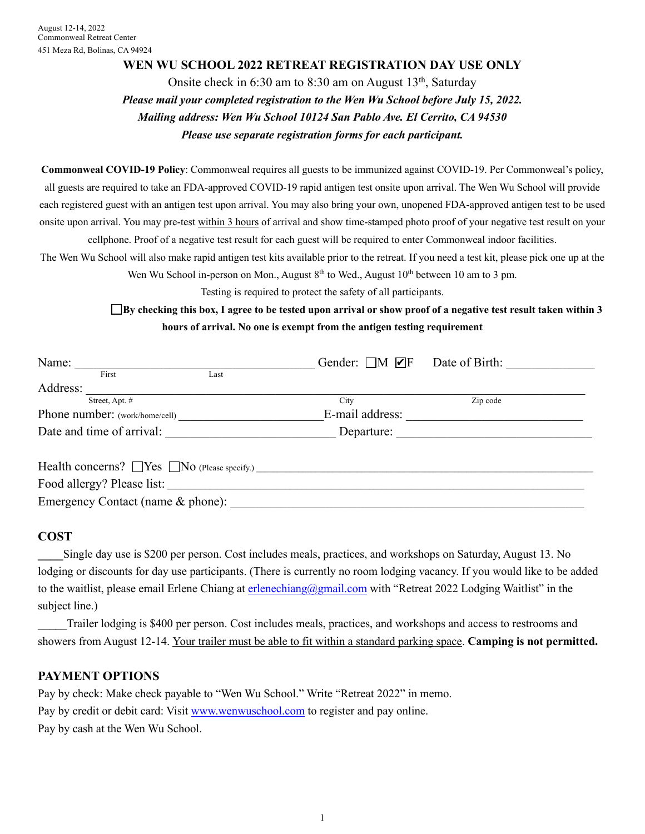#### **WEN WU SCHOOL 2022 RETREAT REGISTRATION DAY USE ONLY**

Onsite check in  $6:30$  am to  $8:30$  am on August  $13<sup>th</sup>$ , Saturday *Please mail your completed registration to the Wen Wu School before July 15, 2022. Mailing address: Wen Wu School 10124 San Pablo Ave. El Cerrito, CA 94530 Please use separate registration forms for each participant.*

**Commonweal COVID-19 Policy**: Commonweal requires all guests to be immunized against COVID-19. Per Commonweal's policy, all guests are required to take an FDA-approved COVID-19 rapid antigen test onsite upon arrival. The Wen Wu School will provide each registered guest with an antigen test upon arrival. You may also bring your own, unopened FDA-approved antigen test to be used onsite upon arrival. You may pre-test within 3 hours of arrival and show time-stamped photo proof of your negative test result on your cellphone. Proof of a negative test result for each guest will be required to enter Commonweal indoor facilities.

The Wen Wu School will also make rapid antigen test kits available prior to the retreat. If you need a test kit, please pick one up at the Wen Wu School in-person on Mon., August  $8<sup>th</sup>$  to Wed., August  $10<sup>th</sup>$  between 10 am to 3 pm.

Testing is required to protect the safety of all participants.

**By checking this box, I agree to be tested upon arrival or show proof of a negative test result taken within 3 hours of arrival. No one is exempt from the antigen testing requirement**

| Name:                                                   | Gender: $\Box M \nabla F$ | Date of Birth: |
|---------------------------------------------------------|---------------------------|----------------|
| First<br>Last                                           |                           |                |
| Address:                                                |                           |                |
| Street, Apt. #                                          | City                      | Zip code       |
| Phone number: (work/home/cell)                          | E-mail address:           |                |
| Date and time of arrival:                               | Departure:                |                |
| Health concerns? $\Box$ Yes $\Box$ No (Please specify.) |                           |                |
| Food allergy? Please list:                              |                           |                |
| Emergency Contact (name & phone):                       |                           |                |

#### **COST**

**\_\_\_\_**Single day use is \$200 per person. Cost includes meals, practices, and workshops on Saturday, August 13. No lodging or discounts for day use participants. (There is currently no room lodging vacancy. If you would like to be added to the waitlist, please email Erlene Chiang at erlenechiang@gmail.com with "Retreat 2022 Lodging Waitlist" in the subject line.)

Trailer lodging is \$400 per person. Cost includes meals, practices, and workshops and access to restrooms and showers from August 12-14. Your trailer must be able to fit within a standard parking space. **Camping is not permitted.**

#### **PAYMENT OPTIONS**

Pay by check: Make check payable to "Wen Wu School." Write "Retreat 2022" in memo. Pay by credit or debit card: Visit www.wenwuschool.com to register and pay online. Pay by cash at the Wen Wu School.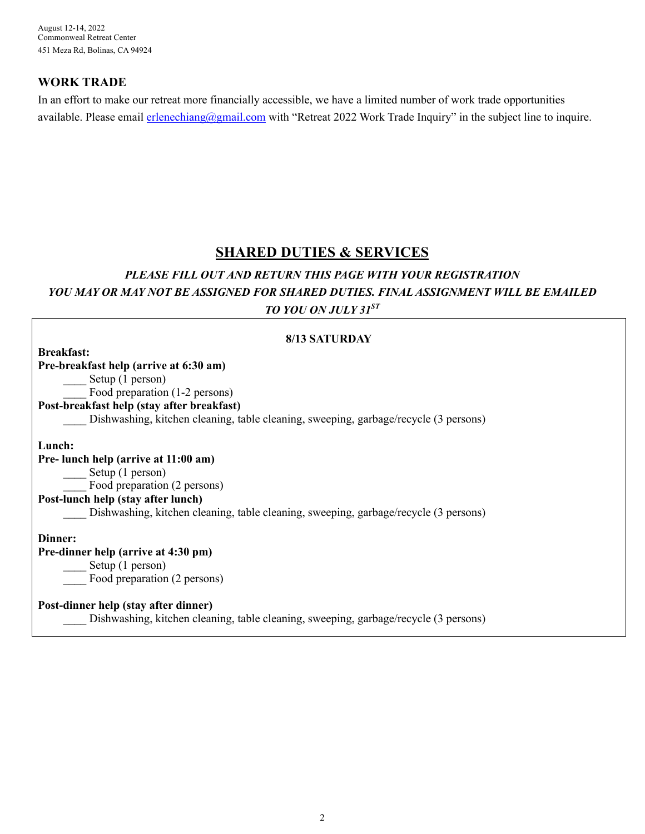August 12-14, 2022 Commonweal Retreat Center 451 Meza Rd, Bolinas, CA 94924

### **WORK TRADE**

In an effort to make our retreat more financially accessible, we have a limited number of work trade opportunities available. Please email erlenechiang@gmail.com with "Retreat 2022 Work Trade Inquiry" in the subject line to inquire.

## **SHARED DUTIES & SERVICES**

## *PLEASE FILL OUT AND RETURN THIS PAGE WITH YOUR REGISTRATION YOU MAY OR MAY NOT BE ASSIGNED FOR SHARED DUTIES. FINAL ASSIGNMENT WILL BE EMAILED TO YOU ON JULY 31ST*

| 8/13 SATURDAY                                                                        |  |  |
|--------------------------------------------------------------------------------------|--|--|
| <b>Breakfast:</b>                                                                    |  |  |
| Pre-breakfast help (arrive at 6:30 am)                                               |  |  |
| Setup (1 person)                                                                     |  |  |
| Food preparation (1-2 persons)                                                       |  |  |
| Post-breakfast help (stay after breakfast)                                           |  |  |
| Dishwashing, kitchen cleaning, table cleaning, sweeping, garbage/recycle (3 persons) |  |  |
| Lunch:                                                                               |  |  |
| Pre- lunch help (arrive at 11:00 am)                                                 |  |  |
| Setup(1 person)                                                                      |  |  |
| Food preparation (2 persons)                                                         |  |  |
| Post-lunch help (stay after lunch)                                                   |  |  |
| Dishwashing, kitchen cleaning, table cleaning, sweeping, garbage/recycle (3 persons) |  |  |
| Dinner:                                                                              |  |  |
| Pre-dinner help (arrive at 4:30 pm)                                                  |  |  |
| Setup(1 person)                                                                      |  |  |
| Food preparation (2 persons)                                                         |  |  |
| Post-dinner help (stay after dinner)                                                 |  |  |
| Dishwashing, kitchen cleaning, table cleaning, sweeping, garbage/recycle (3 persons) |  |  |